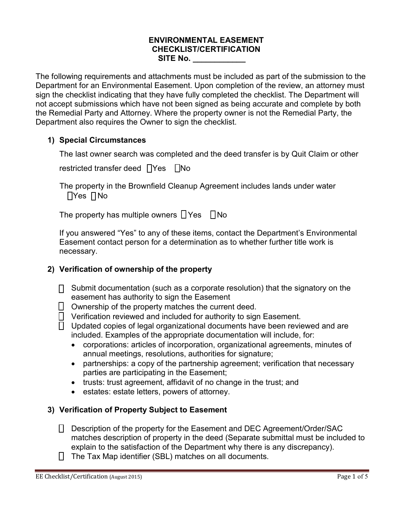#### **ENVIRONMENTAL EASEMENT CHECKLIST/CERTIFICATION SITE No. \_\_\_\_\_\_\_\_\_\_\_\_**

The following requirements and attachments must be included as part of the submission to the Department for an Environmental Easement. Upon completion of the review, an attorney must sign the checklist indicating that they have fully completed the checklist. The Department will not accept submissions which have not been signed as being accurate and complete by both the Remedial Party and Attorney. Where the property owner is not the Remedial Party, the Department also requires the Owner to sign the checklist.

## **1) Special Circumstances**

The last owner search was completed and the deed transfer is by Quit Claim or other

restricted transfer deed  $\Box$ Yes  $\Box$ No

The property in the Brownfield Cleanup Agreement includes lands under water  $\Box$ Yes  $\Box$ No

The property has multiple owners  $\Box$  Yes  $\Box$  No

If you answered "Yes" to any of these items, contact the Department's Environmental Easement contact person for a determination as to whether further title work is necessary.

## **2) Verification of ownership of the property**

- $\Box$  Submit documentation (such as a corporate resolution) that the signatory on the easement has authority to sign the Easement
- $\Box$  Ownership of the property matches the current deed.
- $\Box$  Verification reviewed and included for authority to sign Easement.
- $\Box$  Updated copies of legal organizational documents have been reviewed and are included. Examples of the appropriate documentation will include, for:
	- corporations: articles of incorporation, organizational agreements, minutes of annual meetings, resolutions, authorities for signature;
	- partnerships: a copy of the partnership agreement; verification that necessary parties are participating in the Easement;
	- trusts: trust agreement, affidavit of no change in the trust; and
	- estates: estate letters, powers of attorney.

## **3) Verification of Property Subject to Easement**

- □ Description of the property for the Easement and DEC Agreement/Order/SAC matches description of property in the deed (Separate submittal must be included to explain to the satisfaction of the Department why there is any discrepancy).
- $\Box$  The Tax Map identifier (SBL) matches on all documents.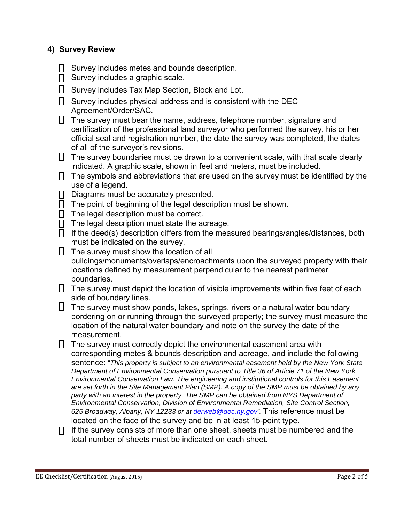#### **4) Survey Review**

- $\Box$  Survey includes metes and bounds description.
- $\Box$  Survey includes a graphic scale.
- $\Box$  Survey includes Tax Map Section, Block and Lot.
- $\Box$  Survey includes physical address and is consistent with the DEC Agreement/Order/SAC.
- $\Box$  The survey must bear the name, address, telephone number, signature and certification of the professional land surveyor who performed the survey, his or her official seal and registration number, the date the survey was completed, the dates of all of the surveyor's revisions.
- $\Box$  The survey boundaries must be drawn to a convenient scale, with that scale clearly indicated. A graphic scale, shown in feet and meters, must be included.
- $\Box$  The symbols and abbreviations that are used on the survey must be identified by the use of a legend.
- $\Box$  Diagrams must be accurately presented.
- $\Box$  The point of beginning of the legal description must be shown.
- $\overline{\Pi}$  The legal description must be correct.
- $\Box$  The legal description must state the acreage.
- $\Box$  If the deed(s) description differs from the measured bearings/angles/distances, both must be indicated on the survey.
- $\Box$  The survey must show the location of all buildings/monuments/overlaps/encroachments upon the surveyed property with their locations defined by measurement perpendicular to the nearest perimeter boundaries.
- $\Box$  The survey must depict the location of visible improvements within five feet of each side of boundary lines.
- $\Box$  The survey must show ponds, lakes, springs, rivers or a natural water boundary bordering on or running through the surveyed property; the survey must measure the location of the natural water boundary and note on the survey the date of the measurement.
- $\Box$  The survey must correctly depict the environmental easement area with corresponding metes & bounds description and acreage, and include the following sentence: "*This property is subject to an environmental easement held by the New York State Department of Environmental Conservation pursuant to Title 36 of Article 71 of the New York Environmental Conservation Law. The engineering and institutional controls for this Easement are set forth in the Site Management Plan (SMP). A copy of the SMP must be obtained by any party with an interest in the property. The SMP can be obtained from NYS Department of Environmental Conservation, Division of Environmental Remediation, Site Control Section, 625 Broadway, Albany, NY 12233 or at derweb@dec.ny.gov".* This reference must be located on the face of the survey and be in at least 15-point type.
- $\Box$  If the survey consists of more than one sheet, sheets must be numbered and the total number of sheets must be indicated on each sheet.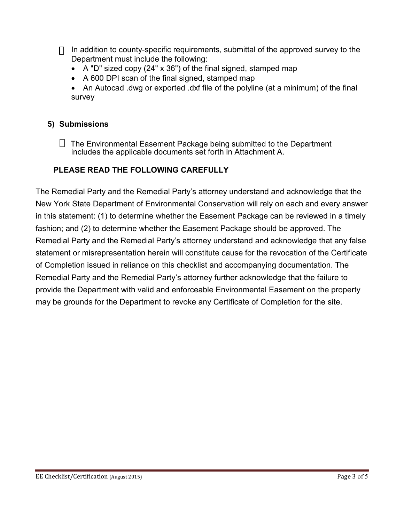$\Box$  In addition to county-specific requirements, submittal of the approved survey to the Department must include the following:

- A "D" sized copy (24" x 36") of the final signed, stamped map
- A 600 DPI scan of the final signed, stamped map
- An Autocad .dwg or exported .dxf file of the polyline (at a minimum) of the final survey

## **5) Submissions**

 $\Box$  The Environmental Easement Package being submitted to the Department includes the applicable documents set forth in Attachment A.

# **PLEASE READ THE FOLLOWING CAREFULLY**

The Remedial Party and the Remedial Party's attorney understand and acknowledge that the New York State Department of Environmental Conservation will rely on each and every answer in this statement: (1) to determine whether the Easement Package can be reviewed in a timely fashion; and (2) to determine whether the Easement Package should be approved. The Remedial Party and the Remedial Party's attorney understand and acknowledge that any false statement or misrepresentation herein will constitute cause for the revocation of the Certificate of Completion issued in reliance on this checklist and accompanying documentation. The Remedial Party and the Remedial Party's attorney further acknowledge that the failure to provide the Department with valid and enforceable Environmental Easement on the property may be grounds for the Department to revoke any Certificate of Completion for the site.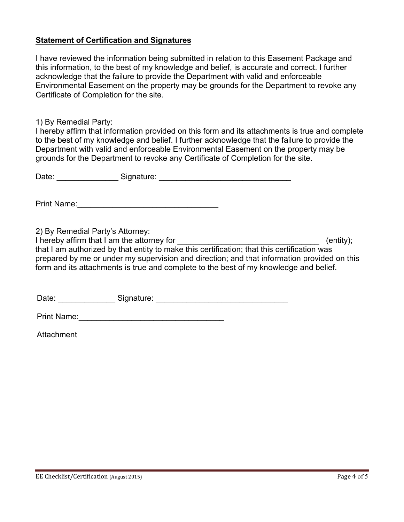#### **Statement of Certification and Signatures**

I have reviewed the information being submitted in relation to this Easement Package and this information, to the best of my knowledge and belief, is accurate and correct. I further acknowledge that the failure to provide the Department with valid and enforceable Environmental Easement on the property may be grounds for the Department to revoke any Certificate of Completion for the site.

1) By Remedial Party:

I hereby affirm that information provided on this form and its attachments is true and complete to the best of my knowledge and belief. I further acknowledge that the failure to provide the Department with valid and enforceable Environmental Easement on the property may be grounds for the Department to revoke any Certificate of Completion for the site.

|                                  | Date: Signature: Signature: Signature: Signature: Signature: Signature: Signature: Signature: Signature: Signature: Signature: Signature: Signature: Signature: Signature: Signature: Signature: Signature: Signature: Signatu                                                      |                 |
|----------------------------------|-------------------------------------------------------------------------------------------------------------------------------------------------------------------------------------------------------------------------------------------------------------------------------------|-----------------|
|                                  |                                                                                                                                                                                                                                                                                     |                 |
| 2) By Remedial Party's Attorney: | that I am authorized by that entity to make this certification; that this certification was<br>prepared by me or under my supervision and direction; and that information provided on this<br>form and its attachments is true and complete to the best of my knowledge and belief. | $($ entity $);$ |
|                                  |                                                                                                                                                                                                                                                                                     |                 |

Attachment

Print Name: